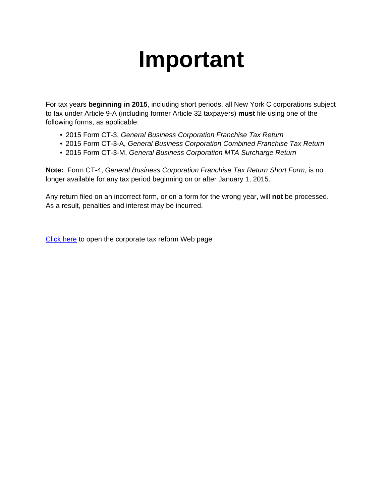## **Important**

For tax years **beginning in 2015**, including short periods, all New York C corporations subject to tax under Article 9-A (including former Article 32 taxpayers) **must** file using one of the following forms, as applicable:

- 2015 Form CT-3, *General Business Corporation Franchise Tax Return*
- 2015 Form CT-3-A, *General Business Corporation Combined Franchise Tax Return*
- 2015 Form CT-3-M, *General Business Corporation MTA Surcharge Return*

**Note:** Form CT-4, *General Business Corporation Franchise Tax Return Short Form*, is no longer available for any tax period beginning on or after January 1, 2015.

Any return filed on an incorrect form, or on a form for the wrong year, will **not** be processed. As a result, penalties and interest may be incurred.

[Click here](https://www.tax.ny.gov/bus/ct/corp_tax_reform.htm) to open the corporate tax reform Web page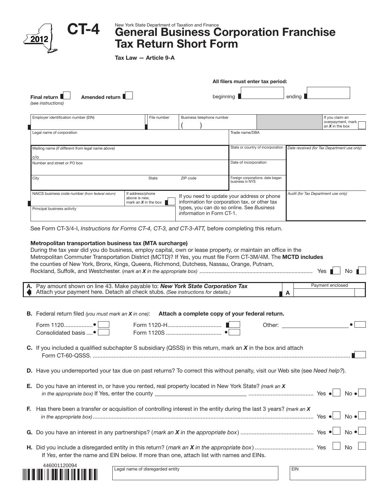|                                                                                                                                                                                                                                                                                                                                                                                         | Tax Law - Article 9-A                                       |                           |                                                                                                                                           |                                                                                                                                                                                                                                |
|-----------------------------------------------------------------------------------------------------------------------------------------------------------------------------------------------------------------------------------------------------------------------------------------------------------------------------------------------------------------------------------------|-------------------------------------------------------------|---------------------------|-------------------------------------------------------------------------------------------------------------------------------------------|--------------------------------------------------------------------------------------------------------------------------------------------------------------------------------------------------------------------------------|
|                                                                                                                                                                                                                                                                                                                                                                                         |                                                             |                           | All filers must enter tax period:                                                                                                         |                                                                                                                                                                                                                                |
| Amended return<br>Final return<br>(see instructions)                                                                                                                                                                                                                                                                                                                                    |                                                             |                           |                                                                                                                                           | ending                                                                                                                                                                                                                         |
| Employer identification number (EIN)                                                                                                                                                                                                                                                                                                                                                    | File number                                                 | Business telephone number |                                                                                                                                           | If you claim an<br>overpayment, mark<br>an $X$ in the box                                                                                                                                                                      |
| Legal name of corporation                                                                                                                                                                                                                                                                                                                                                               |                                                             |                           | Trade name/DBA                                                                                                                            |                                                                                                                                                                                                                                |
| Mailing name (if different from legal name above)                                                                                                                                                                                                                                                                                                                                       |                                                             |                           | State or country of incorporation                                                                                                         | Date received (for Tax Department use only)                                                                                                                                                                                    |
| C/O<br>Number and street or PO box                                                                                                                                                                                                                                                                                                                                                      |                                                             |                           | Date of incorporation                                                                                                                     |                                                                                                                                                                                                                                |
|                                                                                                                                                                                                                                                                                                                                                                                         |                                                             |                           |                                                                                                                                           |                                                                                                                                                                                                                                |
| City                                                                                                                                                                                                                                                                                                                                                                                    | State                                                       | ZIP code                  | Foreign corporations: date began<br>business in NYS                                                                                       |                                                                                                                                                                                                                                |
| NAICS business code number (from federal return)<br>Principal business activity                                                                                                                                                                                                                                                                                                         | If address/phone<br>above is new,<br>mark an $X$ in the box | information in Form CT-1. | If you need to update your address or phone<br>information for corporation tax, or other tax<br>types, you can do so online. See Business | Audit (for Tax Department use only)                                                                                                                                                                                            |
| Metropolitan transportation business tax (MTA surcharge)<br>During the tax year did you do business, employ capital, own or lease property, or maintain an office in the<br>Metropolitan Commuter Transportation District (MCTD)? If Yes, you must file Form CT-3M/4M. The MCTD includes<br>the counties of New York, Bronx, Kings, Queens, Richmond, Dutchess, Nassau, Orange, Putnam, |                                                             |                           |                                                                                                                                           |                                                                                                                                                                                                                                |
|                                                                                                                                                                                                                                                                                                                                                                                         |                                                             |                           |                                                                                                                                           | Yes  <br>Payment enclosed                                                                                                                                                                                                      |
| Pay amount shown on line 43. Make payable to: New York State Corporation Tax<br>Attach your payment here. Detach all check stubs. (See instructions for details.)                                                                                                                                                                                                                       |                                                             |                           |                                                                                                                                           | A                                                                                                                                                                                                                              |
| <b>B.</b> Federal return filed (you must mark an $X$ in one): Attach a complete copy of your federal return.                                                                                                                                                                                                                                                                            |                                                             |                           |                                                                                                                                           |                                                                                                                                                                                                                                |
|                                                                                                                                                                                                                                                                                                                                                                                         |                                                             |                           |                                                                                                                                           | Other: and the contract of the contract of the contract of the contract of the contract of the contract of the contract of the contract of the contract of the contract of the contract of the contract of the contract of the |
| Consolidated basis •                                                                                                                                                                                                                                                                                                                                                                    |                                                             |                           |                                                                                                                                           |                                                                                                                                                                                                                                |
| C. If you included a qualified subchapter S subsidiary (QSSS) in this return, mark an X in the box and attach                                                                                                                                                                                                                                                                           |                                                             |                           |                                                                                                                                           |                                                                                                                                                                                                                                |
| D. Have you underreported your tax due on past returns? To correct this without penalty, visit our Web site (see Need help?).                                                                                                                                                                                                                                                           |                                                             |                           |                                                                                                                                           |                                                                                                                                                                                                                                |
| E. Do you have an interest in, or have you rented, real property located in New York State? (mark an X                                                                                                                                                                                                                                                                                  |                                                             |                           |                                                                                                                                           |                                                                                                                                                                                                                                |
| F. Has there been a transfer or acquisition of controlling interest in the entity during the last 3 years? (mark an X                                                                                                                                                                                                                                                                   |                                                             |                           |                                                                                                                                           |                                                                                                                                                                                                                                |
|                                                                                                                                                                                                                                                                                                                                                                                         |                                                             |                           |                                                                                                                                           |                                                                                                                                                                                                                                |
| If Yes, enter the name and EIN below. If more than one, attach list with names and EINs.                                                                                                                                                                                                                                                                                                |                                                             |                           |                                                                                                                                           | $No \bullet$<br>$No \bullet$<br>$No \cdot$<br>No                                                                                                                                                                               |

446001120094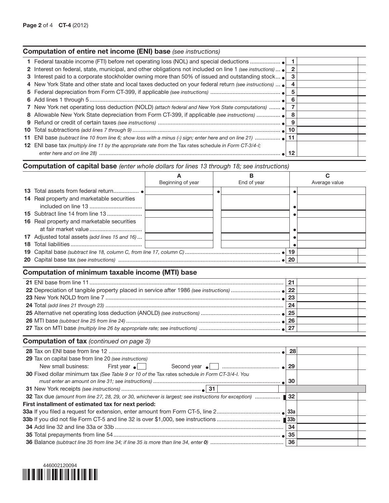## Computation of capital base *(enter whole dollars for lines 13 through 18; see instructions)*

|                                                                                                       |                   | B           |    | C             |
|-------------------------------------------------------------------------------------------------------|-------------------|-------------|----|---------------|
|                                                                                                       | Beginning of year | End of year |    | Average value |
|                                                                                                       |                   |             |    |               |
| 14 Real property and marketable securities                                                            |                   |             |    |               |
|                                                                                                       |                   |             |    |               |
| <b>15</b> Subtract line 14 from line 13                                                               |                   |             |    |               |
| 16 Real property and marketable securities                                                            |                   |             |    |               |
| at fair market value                                                                                  |                   |             |    |               |
| 17 Adjusted total assets (add lines 15 and 16)                                                        |                   |             |    |               |
|                                                                                                       |                   |             |    |               |
|                                                                                                       |                   |             |    |               |
|                                                                                                       |                   |             | 20 |               |
|                                                                                                       |                   |             |    |               |
| Computation of minimum taxable income (MTI) base                                                      |                   |             |    |               |
|                                                                                                       |                   |             |    |               |
|                                                                                                       |                   |             |    |               |
|                                                                                                       |                   |             |    |               |
|                                                                                                       |                   |             |    |               |
|                                                                                                       |                   |             |    |               |
|                                                                                                       |                   |             |    |               |
|                                                                                                       |                   |             |    |               |
| <b>Computation of tax</b> (continued on page 3)                                                       |                   |             |    |               |
|                                                                                                       |                   |             |    |               |
|                                                                                                       |                   |             | 28 |               |
| 29 Tax on capital base from line 20 (see instructions)                                                |                   |             |    |               |
| New small business:<br>First year $\bullet$                                                           |                   |             | 29 |               |
| 30 Fixed dollar minimum tax (See Table 9 or 10 of the Tax rates schedule in Form CT-3/4-I. You        |                   |             |    |               |
|                                                                                                       |                   |             | 30 |               |
|                                                                                                       |                   |             |    |               |
| 32 Tax due (amount from line 27, 28, 29, or 30, whichever is largest; see instructions for exception) |                   |             | 32 |               |
| First installment of estimated tax for next period:                                                   |                   |             |    |               |
|                                                                                                       |                   |             |    |               |
|                                                                                                       |                   |             |    |               |
|                                                                                                       |                   |             | 34 |               |
|                                                                                                       |                   |             |    |               |
|                                                                                                       |                   |             | 36 |               |

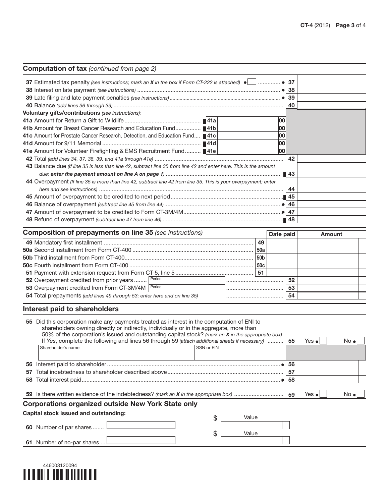| <b>Computation of tax</b> (continued from page 2)                                                                                                                                                   |    |           |                   |               |              |
|-----------------------------------------------------------------------------------------------------------------------------------------------------------------------------------------------------|----|-----------|-------------------|---------------|--------------|
|                                                                                                                                                                                                     |    |           | 37                |               |              |
|                                                                                                                                                                                                     |    |           |                   |               |              |
|                                                                                                                                                                                                     |    |           |                   |               |              |
|                                                                                                                                                                                                     |    |           | 40                |               |              |
| Voluntary gifts/contributions (see instructions):                                                                                                                                                   |    |           |                   |               |              |
|                                                                                                                                                                                                     |    | 00        |                   |               |              |
| 41b Amount for Breast Cancer Research and Education Fund 141b                                                                                                                                       |    | 00        |                   |               |              |
| 41c Amount for Prostate Cancer Research, Detection, and Education Fund ■41c                                                                                                                         |    | 00        |                   |               |              |
|                                                                                                                                                                                                     |    | 00        |                   |               |              |
| 41e Amount for Volunteer Firefighting & EMS Recruitment Fund 41e                                                                                                                                    |    | 00        |                   |               |              |
|                                                                                                                                                                                                     |    |           | 42                |               |              |
| 43 Balance due (If line 35 is less than line 42, subtract line 35 from line 42 and enter here. This is the amount                                                                                   |    |           |                   |               |              |
|                                                                                                                                                                                                     |    |           | $\blacksquare$ 43 |               |              |
| 44 Overpayment (If line 35 is more than line 42, subtract line 42 from line 35. This is your overpayment; enter                                                                                     |    |           |                   |               |              |
|                                                                                                                                                                                                     |    |           | 44                |               |              |
|                                                                                                                                                                                                     |    |           |                   |               |              |
|                                                                                                                                                                                                     |    |           | 46                |               |              |
|                                                                                                                                                                                                     |    |           |                   |               |              |
|                                                                                                                                                                                                     |    |           |                   |               |              |
| <b>Composition of prepayments on line 35</b> (see instructions)                                                                                                                                     |    | Date paid |                   | <b>Amount</b> |              |
|                                                                                                                                                                                                     | 49 |           |                   |               |              |
|                                                                                                                                                                                                     |    |           |                   |               |              |
|                                                                                                                                                                                                     |    |           |                   |               |              |
|                                                                                                                                                                                                     |    |           |                   |               |              |
|                                                                                                                                                                                                     | 51 |           |                   |               |              |
| Period<br>52 Overpayment credited from prior years                                                                                                                                                  |    |           | 52                |               |              |
| 53 Overpayment credited from Form CT-3M/4M<br>Period                                                                                                                                                |    |           | 53                |               |              |
| 54 Total prepayments (add lines 49 through 53; enter here and on line 35)                                                                                                                           |    |           | 54                |               |              |
| Interest paid to shareholders                                                                                                                                                                       |    |           |                   |               |              |
| 55 Did this corporation make any payments treated as interest in the computation of ENI to                                                                                                          |    |           |                   |               |              |
| shareholders owning directly or indirectly, individually or in the aggregate, more than                                                                                                             |    |           |                   |               |              |
| 50% of the corporation's issued and outstanding capital stock? (mark an X in the appropriate box)<br>If Yes, complete the following and lines 56 through 59 (attach additional sheets if necessary) |    |           |                   | Yes $\bullet$ | No ●         |
| Shareholder's name<br>SSN or EIN                                                                                                                                                                    |    |           | 55                |               |              |
|                                                                                                                                                                                                     |    |           |                   |               |              |
|                                                                                                                                                                                                     |    |           | 56                |               |              |
| 57                                                                                                                                                                                                  |    |           | 57                |               |              |
|                                                                                                                                                                                                     |    |           | 58                |               |              |
|                                                                                                                                                                                                     |    |           |                   |               |              |
|                                                                                                                                                                                                     |    |           | 59                | Yes $\bullet$ | $No \bullet$ |
| <b>Corporations organized outside New York State only</b>                                                                                                                                           |    |           |                   |               |              |
| Capital stock issued and outstanding:<br>Value<br>\$                                                                                                                                                |    |           |                   |               |              |
|                                                                                                                                                                                                     |    |           |                   |               |              |
| 60 Number of par shares<br>\$<br>Value                                                                                                                                                              |    |           |                   |               |              |
| 61 Number of no-par shares                                                                                                                                                                          |    |           |                   |               |              |
|                                                                                                                                                                                                     |    |           |                   |               |              |